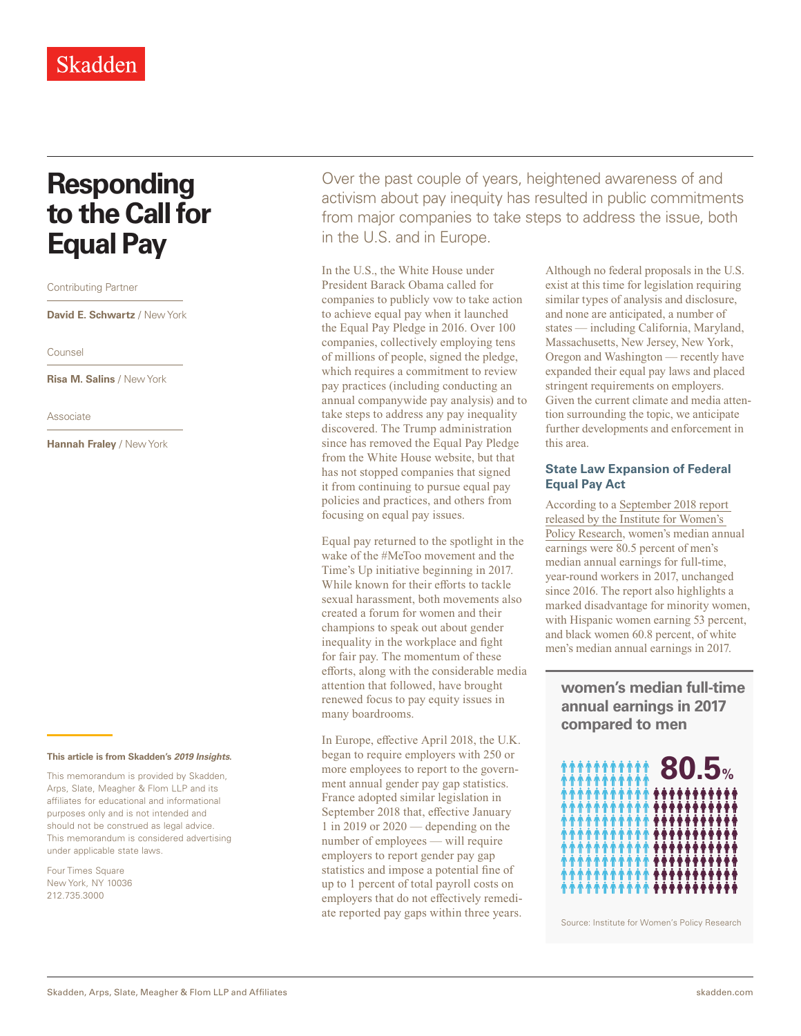# **Responding to the Call for Equal Pay**

Contributing Partner

**David E. Schwartz** / New York

Counsel

**Risa M. Salins** / New York

Associate

**Hannah Fraley** / New York

#### **This article is from Skadden's** *[2019 Insights](http://www.skadden.com/insights/publications/2019/01/2019-insights/2019-insights)***.**

This memorandum is provided by Skadden, Arps, Slate, Meagher & Flom LLP and its affiliates for educational and informational purposes only and is not intended and should not be construed as legal advice. This memorandum is considered advertising under applicable state laws.

Four Times Square New York, NY 10036 212.735.3000

Over the past couple of years, heightened awareness of and activism about pay inequity has resulted in public commitments from major companies to take steps to address the issue, both in the U.S. and in Europe.

In the U.S., the White House under President Barack Obama called for companies to publicly vow to take action to achieve equal pay when it launched the Equal Pay Pledge in 2016. Over 100 companies, collectively employing tens of millions of people, signed the pledge, which requires a commitment to review pay practices (including conducting an annual companywide pay analysis) and to take steps to address any pay inequality discovered. The Trump administration since has removed the Equal Pay Pledge from the White House website, but that has not stopped companies that signed it from continuing to pursue equal pay policies and practices, and others from focusing on equal pay issues.

Equal pay returned to the spotlight in the wake of the #MeToo movement and the Time's Up initiative beginning in 2017. While known for their efforts to tackle sexual harassment, both movements also created a forum for women and their champions to speak out about gender inequality in the workplace and fight for fair pay. The momentum of these efforts, along with the considerable media attention that followed, have brought renewed focus to pay equity issues in many boardrooms.

In Europe, effective April 2018, the U.K. began to require employers with 250 or more employees to report to the government annual gender pay gap statistics. France adopted similar legislation in September 2018 that, effective January 1 in 2019 or 2020 — depending on the number of employees — will require employers to report gender pay gap statistics and impose a potential fine of up to 1 percent of total payroll costs on employers that do not effectively remediate reported pay gaps within three years. Although no federal proposals in the U.S. exist at this time for legislation requiring similar types of analysis and disclosure, and none are anticipated, a number of states — including California, Maryland, Massachusetts, New Jersey, New York, Oregon and Washington — recently have expanded their equal pay laws and placed stringent requirements on employers. Given the current climate and media attention surrounding the topic, we anticipate further developments and enforcement in this area.

### **State Law Expansion of Federal Equal Pay Act**

According to a [September 2018 report](https://www.skadden.com/-/media/files/publications/2019/01/2019-insights/responding-to-the-call-for-equal-pay/pdfstatelawexpansionoffederalequalpayactc473.pdf)  [released by the Institute for Women's](https://www.skadden.com/-/media/files/publications/2019/01/2019-insights/responding-to-the-call-for-equal-pay/pdfstatelawexpansionoffederalequalpayactc473.pdf)  [Policy Research,](https://www.skadden.com/-/media/files/publications/2019/01/2019-insights/responding-to-the-call-for-equal-pay/pdfstatelawexpansionoffederalequalpayactc473.pdf) women's median annual earnings were 80.5 percent of men's median annual earnings for full-time, year-round workers in 2017, unchanged since 2016. The report also highlights a marked disadvantage for minority women, with Hispanic women earning 53 percent, and black women 60.8 percent, of white men's median annual earnings in 2017.

**women's median full-time annual earnings in 2017 compared to men**



Source: Institute for Women's Policy Research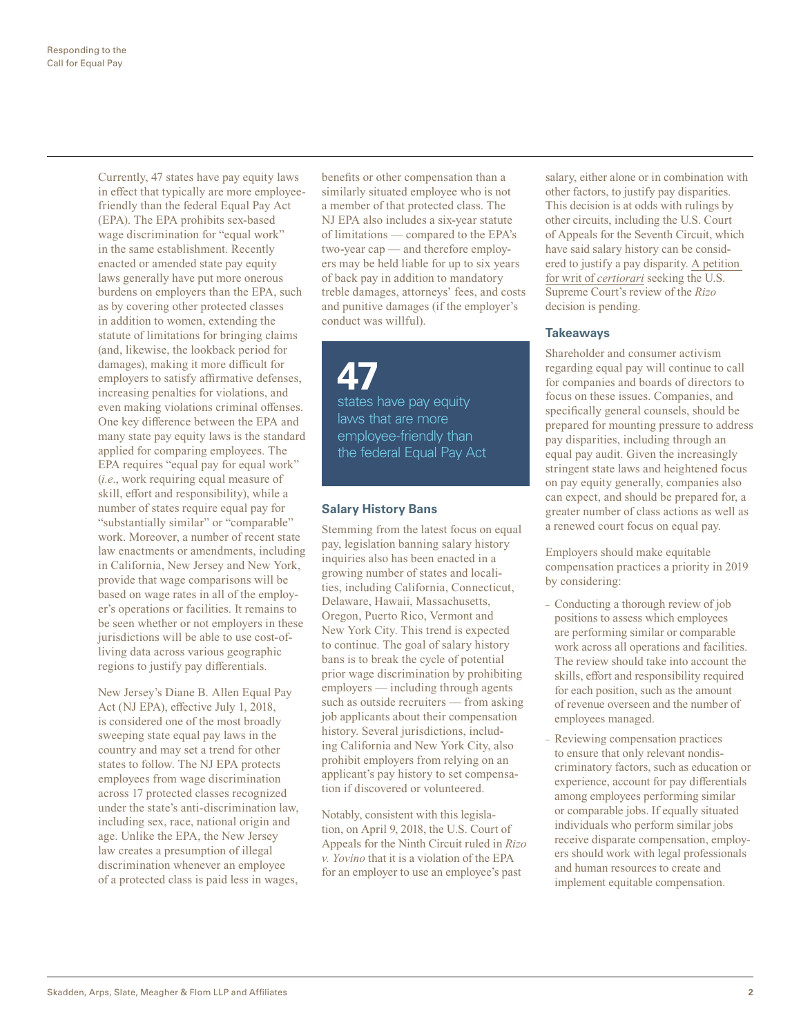Currently, 47 states have pay equity laws in effect that typically are more employeefriendly than the federal Equal Pay Act (EPA). The EPA prohibits sex-based wage discrimination for "equal work" in the same establishment. Recently enacted or amended state pay equity laws generally have put more onerous burdens on employers than the EPA, such as by covering other protected classes in addition to women, extending the statute of limitations for bringing claims (and, likewise, the lookback period for damages), making it more difficult for employers to satisfy affirmative defenses, increasing penalties for violations, and even making violations criminal offenses. One key difference between the EPA and many state pay equity laws is the standard applied for comparing employees. The EPA requires "equal pay for equal work" (*i.e*., work requiring equal measure of skill, effort and responsibility), while a number of states require equal pay for "substantially similar" or "comparable" work. Moreover, a number of recent state law enactments or amendments, including in California, New Jersey and New York, provide that wage comparisons will be based on wage rates in all of the employer's operations or facilities. It remains to be seen whether or not employers in these jurisdictions will be able to use cost-ofliving data across various geographic regions to justify pay differentials.

New Jersey's Diane B. Allen Equal Pay Act (NJ EPA), effective July 1, 2018, is considered one of the most broadly sweeping state equal pay laws in the country and may set a trend for other states to follow. The NJ EPA protects employees from wage discrimination across 17 protected classes recognized under the state's anti-discrimination law, including sex, race, national origin and age. Unlike the EPA, the New Jersey law creates a presumption of illegal discrimination whenever an employee of a protected class is paid less in wages,

benefits or other compensation than a similarly situated employee who is not a member of that protected class. The NJ EPA also includes a six-year statute of limitations — compared to the EPA's two-year cap — and therefore employers may be held liable for up to six years of back pay in addition to mandatory treble damages, attorneys' fees, and costs and punitive damages (if the employer's conduct was willful).

**47** states have pay equity laws that are more employee-friendly than the federal Equal Pay Act

## **Salary History Bans**

Stemming from the latest focus on equal pay, legislation banning salary history inquiries also has been enacted in a growing number of states and localities, including California, Connecticut, Delaware, Hawaii, Massachusetts, Oregon, Puerto Rico, Vermont and New York City. This trend is expected to continue. The goal of salary history bans is to break the cycle of potential prior wage discrimination by prohibiting employers — including through agents such as outside recruiters — from asking job applicants about their compensation history. Several jurisdictions, including California and New York City, also prohibit employers from relying on an applicant's pay history to set compensation if discovered or volunteered.

Notably, consistent with this legislation, on April 9, 2018, the U.S. Court of Appeals for the Ninth Circuit ruled in *Rizo v. Yovino* that it is a violation of the EPA for an employer to use an employee's past

salary, either alone or in combination with other factors, to justify pay disparities. This decision is at odds with rulings by other circuits, including the U.S. Court of Appeals for the Seventh Circuit, which have said salary history can be considered to justify a pay disparity. [A petition](https://www.skadden.com/-/media/files/publications/2019/01/2019-insights/responding-to-the-call-for-equal-pay/pdfstatelawexpansionoffederalequalpayactc473.pdf)  [for writ of](https://www.skadden.com/-/media/files/publications/2019/01/2019-insights/responding-to-the-call-for-equal-pay/pdfstatelawexpansionoffederalequalpayactc473.pdf) *certiorari* seeking the U.S. Supreme Court's review of the *Rizo* decision is pending.

#### **Takeaways**

Shareholder and consumer activism regarding equal pay will continue to call for companies and boards of directors to focus on these issues. Companies, and specifically general counsels, should be prepared for mounting pressure to address pay disparities, including through an equal pay audit. Given the increasingly stringent state laws and heightened focus on pay equity generally, companies also can expect, and should be prepared for, a greater number of class actions as well as a renewed court focus on equal pay.

Employers should make equitable compensation practices a priority in 2019 by considering:

- Conducting a thorough review of job positions to assess which employees are performing similar or comparable work across all operations and facilities. The review should take into account the skills, effort and responsibility required for each position, such as the amount of revenue overseen and the number of employees managed.
- Reviewing compensation practices to ensure that only relevant nondiscriminatory factors, such as education or experience, account for pay differentials among employees performing similar or comparable jobs. If equally situated individuals who perform similar jobs receive disparate compensation, employers should work with legal professionals and human resources to create and implement equitable compensation.